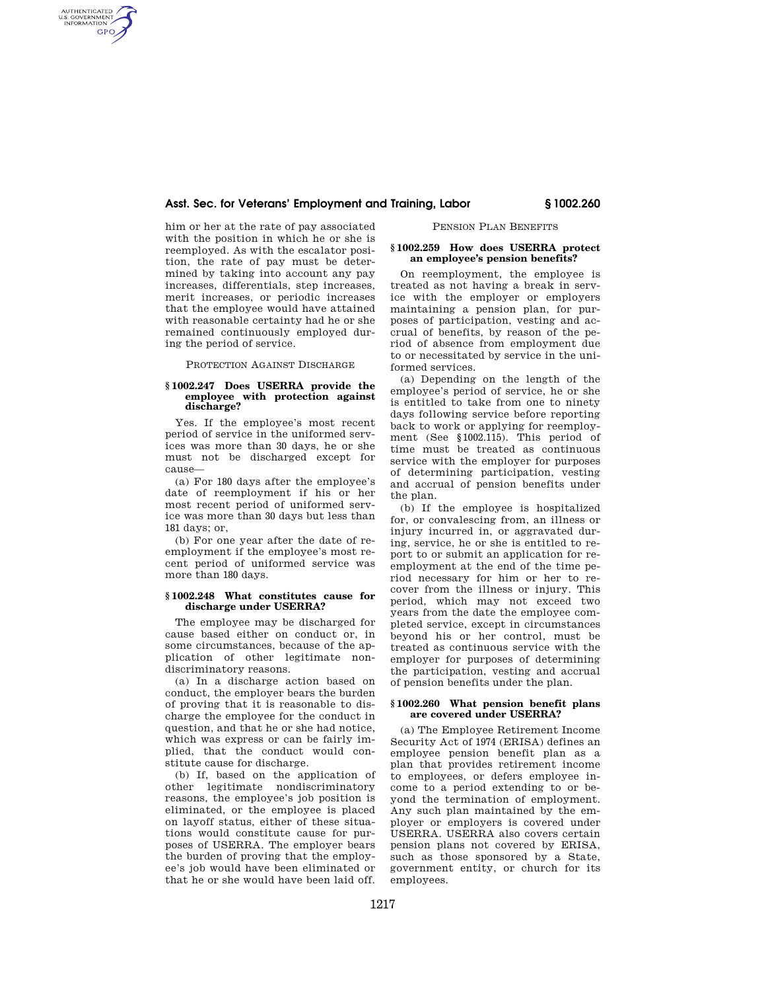# **Asst. Sec. for Veterans' Employment and Training, Labor § 1002.260**

him or her at the rate of pay associated with the position in which he or she is reemployed. As with the escalator position, the rate of pay must be determined by taking into account any pay increases, differentials, step increases, merit increases, or periodic increases that the employee would have attained with reasonable certainty had he or she remained continuously employed during the period of service.

AUTHENTICATED<br>U.S. GOVERNMENT<br>INFORMATION GPO

### PROTECTION AGAINST DISCHARGE

#### **§ 1002.247 Does USERRA provide the employee with protection against discharge?**

Yes. If the employee's most recent period of service in the uniformed services was more than 30 days, he or she must not be discharged except for cause—

(a) For 180 days after the employee's date of reemployment if his or her most recent period of uniformed service was more than 30 days but less than 181 days; or,

(b) For one year after the date of reemployment if the employee's most recent period of uniformed service was more than 180 days.

### **§ 1002.248 What constitutes cause for discharge under USERRA?**

The employee may be discharged for cause based either on conduct or, in some circumstances, because of the application of other legitimate nondiscriminatory reasons.

(a) In a discharge action based on conduct, the employer bears the burden of proving that it is reasonable to discharge the employee for the conduct in question, and that he or she had notice, which was express or can be fairly implied, that the conduct would constitute cause for discharge.

(b) If, based on the application of other legitimate nondiscriminatory reasons, the employee's job position is eliminated, or the employee is placed on layoff status, either of these situations would constitute cause for purposes of USERRA. The employer bears the burden of proving that the employee's job would have been eliminated or that he or she would have been laid off.

PENSION PLAN BENEFITS

## **§ 1002.259 How does USERRA protect an employee's pension benefits?**

On reemployment, the employee is treated as not having a break in service with the employer or employers maintaining a pension plan, for purposes of participation, vesting and accrual of benefits, by reason of the period of absence from employment due to or necessitated by service in the uniformed services.

(a) Depending on the length of the employee's period of service, he or she is entitled to take from one to ninety days following service before reporting back to work or applying for reemployment (See §1002.115). This period of time must be treated as continuous service with the employer for purposes of determining participation, vesting and accrual of pension benefits under the plan.

(b) If the employee is hospitalized for, or convalescing from, an illness or injury incurred in, or aggravated during, service, he or she is entitled to report to or submit an application for reemployment at the end of the time period necessary for him or her to recover from the illness or injury. This period, which may not exceed two years from the date the employee completed service, except in circumstances beyond his or her control, must be treated as continuous service with the employer for purposes of determining the participation, vesting and accrual of pension benefits under the plan.

#### **§ 1002.260 What pension benefit plans are covered under USERRA?**

(a) The Employee Retirement Income Security Act of 1974 (ERISA) defines an employee pension benefit plan as a plan that provides retirement income to employees, or defers employee income to a period extending to or beyond the termination of employment. Any such plan maintained by the employer or employers is covered under USERRA. USERRA also covers certain pension plans not covered by ERISA, such as those sponsored by a State, government entity, or church for its employees.